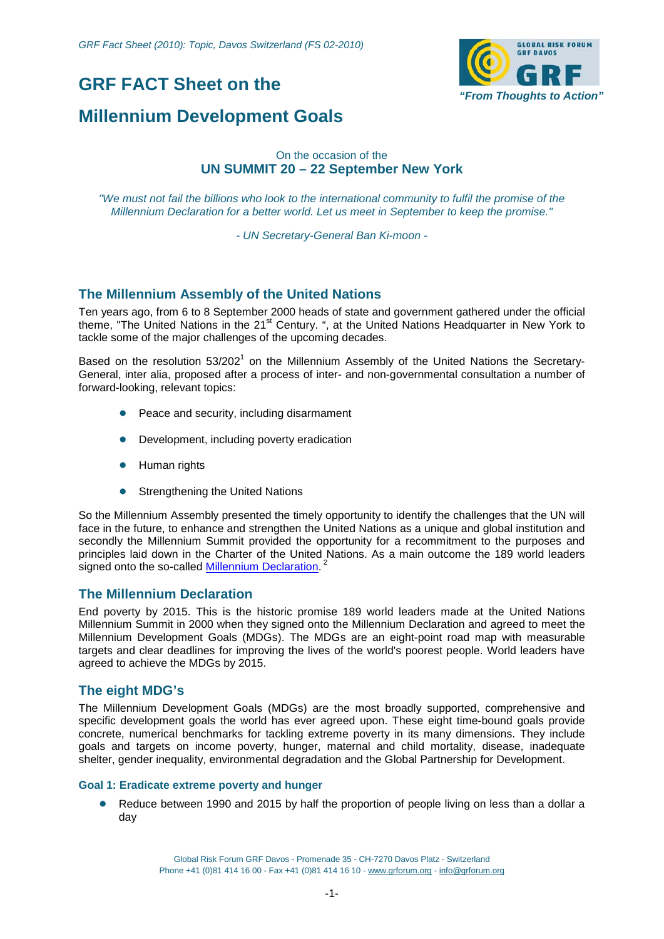# **GRF FACT Sheet on the**

# **Millennium Development Goals**



### On the occasion of the **UN SUMMIT 20 – 22 September New York**

*"We must not fail the billions who look to the international community to fulfil the promise of the Millennium Declaration for a better world. Let us meet in September to keep the promise."*

*- UN Secretary-General Ban Ki-moon -*

# **The Millennium Assembly of the United Nations**

Ten years ago, from 6 to 8 September 2000 heads of state and government gathered under the official theme, "The United Nations in the 21<sup>st</sup> Century. ", at the United Nations Headquarter in New York to tackle some of the major challenges of the upcoming decades.

Based on the resolution 53/202<sup>1</sup> on the Millennium Assembly of the United Nations the Secretary-General, inter alia, proposed after a process of inter- and non-governmental consultation a number of forward-looking, relevant topics:

- *●* Peace and security, including disarmament
- *●* Development, including poverty eradication
- *●* Human rights
- *●* Strengthening the United Nations

So the Millennium Assembly presented the timely opportunity to identify the challenges that the UN will face in the future, to enhance and strengthen the United Nations as a unique and global institution and secondly the Millennium Summit provided the opportunity for a recommitment to the purposes and principles laid down in the Charter of the United Nations. As a main outcome the 189 world leaders signed onto the so-called **Millennium Declaration**.<sup>2</sup>

# **The Millennium Declaration**

End poverty by 2015. This is the historic promise 189 world leaders made at the United Nations Millennium Summit in 2000 when they signed onto the Millennium Declaration and agreed to meet the Millennium Development Goals (MDGs). The MDGs are an eight-point road map with measurable targets and clear deadlines for improving the lives of the world's poorest people. World leaders have agreed to achieve the MDGs by 2015.

# **The eight MDG's**

The Millennium Development Goals (MDGs) are the most broadly supported, comprehensive and specific development goals the world has ever agreed upon. These eight time-bound goals provide concrete, numerical benchmarks for tackling extreme poverty in its many dimensions. They include goals and targets on income poverty, hunger, maternal and child mortality, disease, inadequate shelter, gender inequality, environmental degradation and the Global Partnership for Development.

#### **Goal 1: Eradicate extreme poverty and hunger**

● Reduce between 1990 and 2015 by half the proportion of people living on less than a dollar a day

> Global Risk Forum GRF Davos - Promenade 35 - CH-7270 Davos Platz - Switzerland Phone +41 (0)81 414 16 00 - Fax +41 (0)81 414 16 10 - [www.grforum.org](http://www.grforum.org/) - [info@grforum.org](mailto:info@grforum.org)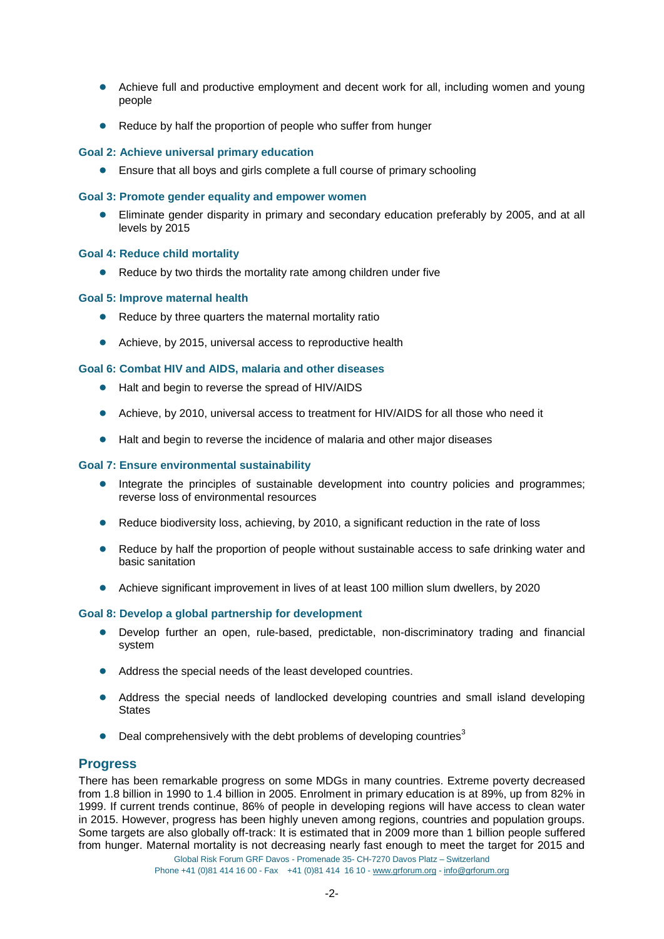- Achieve full and productive employment and decent work for all, including women and young people
- Reduce by half the proportion of people who suffer from hunger

#### **Goal 2: Achieve universal primary education**

● Ensure that all boys and girls complete a full course of primary schooling

#### **Goal 3: Promote gender equality and empower women**

● Eliminate gender disparity in primary and secondary education preferably by 2005, and at all levels by 2015

#### **Goal 4: Reduce child mortality**

● Reduce by two thirds the mortality rate among children under five

#### **Goal 5: Improve maternal health**

- Reduce by three quarters the maternal mortality ratio
- Achieve, by 2015, universal access to reproductive health

#### **Goal 6: Combat HIV and AIDS, malaria and other diseases**

- Halt and begin to reverse the spread of HIV/AIDS
- Achieve, by 2010, universal access to treatment for HIV/AIDS for all those who need it
- Halt and begin to reverse the incidence of malaria and other major diseases

#### **Goal 7: Ensure environmental sustainability**

- Integrate the principles of sustainable development into country policies and programmes; reverse loss of environmental resources
- Reduce biodiversity loss, achieving, by 2010, a significant reduction in the rate of loss
- Reduce by half the proportion of people without sustainable access to safe drinking water and basic sanitation
- Achieve significant improvement in lives of at least 100 million slum dwellers, by 2020

#### **Goal 8: Develop a global partnership for development**

- Develop further an open, rule-based, predictable, non-discriminatory trading and financial system
- Address the special needs of the least developed countries.
- Address the special needs of landlocked developing countries and small island developing **States**
- $\bullet$  Deal comprehensively with the debt problems of developing countries<sup>3</sup>

#### **Progress**

There has been remarkable progress on some MDGs in many countries. Extreme poverty decreased from 1.8 billion in 1990 to 1.4 billion in 2005. Enrolment in primary education is at 89%, up from 82% in 1999. If current trends continue, 86% of people in developing regions will have access to clean water in 2015. However, progress has been highly uneven among regions, countries and population groups. Some targets are also globally off-track: It is estimated that in 2009 more than 1 billion people suffered from hunger. Maternal mortality is not decreasing nearly fast enough to meet the target for 2015 and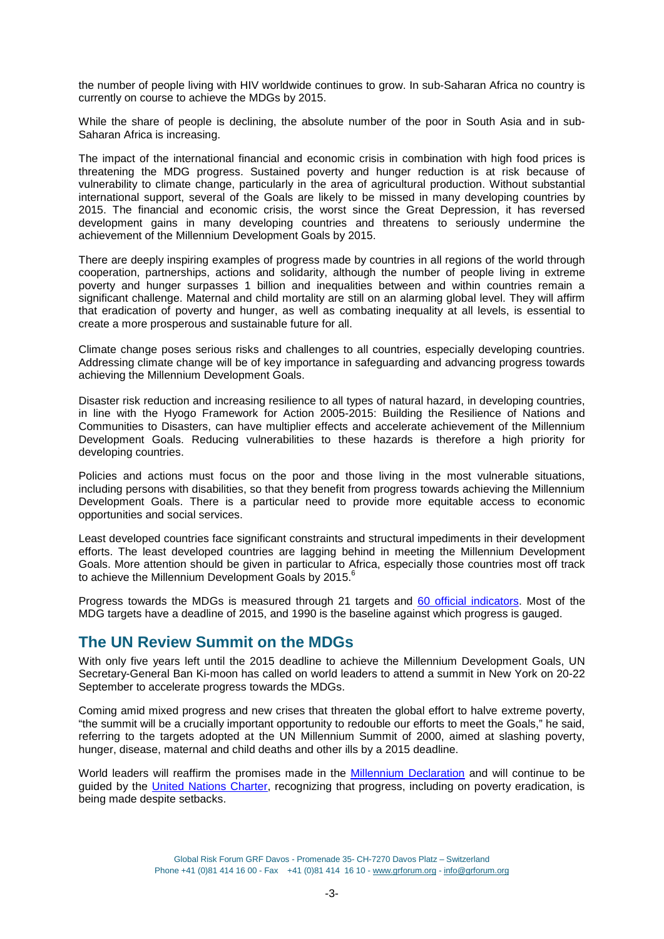the number of people living with HIV worldwide continues to grow. In sub-Saharan Africa no country is currently on course to achieve the MDGs by 2015.

While the share of people is declining, the absolute number of the poor in South Asia and in sub-Saharan Africa is increasing.

The impact of the international financial and economic crisis in combination with high food prices is threatening the MDG progress. Sustained poverty and hunger reduction is at risk because of vulnerability to climate change, particularly in the area of agricultural production. Without substantial international support, several of the Goals are likely to be missed in many developing countries by 2015. The financial and economic crisis, the worst since the Great Depression, it has reversed development gains in many developing countries and threatens to seriously undermine the achievement of the Millennium Development Goals by 2015.

There are deeply inspiring examples of progress made by countries in all regions of the world through cooperation, partnerships, actions and solidarity, although the number of people living in extreme poverty and hunger surpasses 1 billion and inequalities between and within countries remain a significant challenge. Maternal and child mortality are still on an alarming global level. They will affirm that eradication of poverty and hunger, as well as combating inequality at all levels, is essential to create a more prosperous and sustainable future for all.

Climate change poses serious risks and challenges to all countries, especially developing countries. Addressing climate change will be of key importance in safeguarding and advancing progress towards achieving the Millennium Development Goals.

Disaster risk reduction and increasing resilience to all types of natural hazard, in developing countries, in line with the Hyogo Framework for Action 2005-2015: Building the Resilience of Nations and Communities to Disasters, can have multiplier effects and accelerate achievement of the Millennium Development Goals. Reducing vulnerabilities to these hazards is therefore a high priority for developing countries.

Policies and actions must focus on the poor and those living in the most vulnerable situations, including persons with disabilities, so that they benefit from progress towards achieving the Millennium Development Goals. There is a particular need to provide more equitable access to economic opportunities and social services.

Least developed countries face significant constraints and structural impediments in their development efforts. The least developed countries are lagging behind in meeting the Millennium Development Goals. More attention should be given in particular to Africa, especially those countries most off track to achieve the Millennium Development Goals by 2015.<sup>6</sup>

Progress towards the MDGs is measured through 21 targets and [60 official indicators.](http://unstats.un.org/unsd/mdg/Resources/Attach/Indicators/OfficialList2008.pdf) Most of the MDG targets have a deadline of 2015, and 1990 is the baseline against which progress is gauged.

# **The UN Review Summit on the MDGs**

With only five years left until the 2015 deadline to achieve the Millennium Development Goals, UN Secretary-General Ban Ki-moon has called on world leaders to attend a summit in New York on 20-22 September to accelerate progress towards the MDGs.

Coming amid mixed progress and new crises that threaten the global effort to halve extreme poverty, "the summit will be a crucially important opportunity to redouble our efforts to meet the Goals," he said, referring to the targets adopted at the UN Millennium Summit of 2000, aimed at slashing poverty, hunger, disease, maternal and child deaths and other ills by a 2015 deadline.

World leaders will reaffirm the promises made in the [Millennium Declaration](http://www.un.org/millennium/declaration/ares552e.htm) and will continue to be guided by the [United Nations Charter,](http://www.un.org/en/documents/charter/index.shtml) recognizing that progress, including on poverty eradication, is being made despite setbacks.